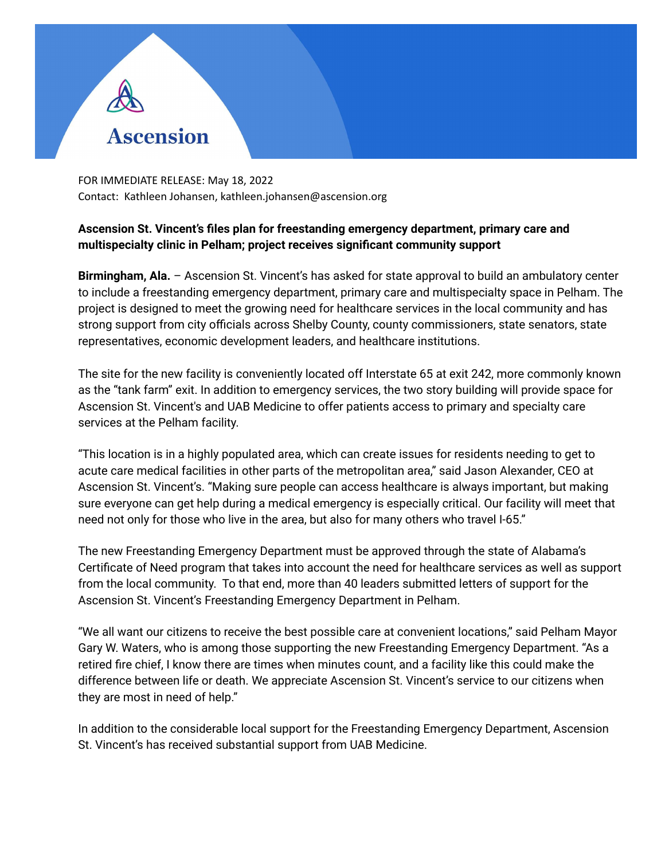

FOR IMMEDIATE RELEASE: May 18, 2022 Contact: Kathleen Johansen, kathleen.johansen@ascension.org

## **Ascension St. Vincent's files plan for freestanding emergency department, primary care and multispecialty clinic in Pelham; project receives significant community support**

**Birmingham, Ala.** – Ascension St. Vincent's has asked for state approval to build an ambulatory center to include a freestanding emergency department, primary care and multispecialty space in Pelham. The project is designed to meet the growing need for healthcare services in the local community and has strong support from city officials across Shelby County, county commissioners, state senators, state representatives, economic development leaders, and healthcare institutions.

The site for the new facility is conveniently located off Interstate 65 at exit 242, more commonly known as the "tank farm" exit. In addition to emergency services, the two story building will provide space for Ascension St. Vincent's and UAB Medicine to offer patients access to primary and specialty care services at the Pelham facility.

"This location is in a highly populated area, which can create issues for residents needing to get to acute care medical facilities in other parts of the metropolitan area," said Jason Alexander, CEO at Ascension St. Vincent's. "Making sure people can access healthcare is always important, but making sure everyone can get help during a medical emergency is especially critical. Our facility will meet that need not only for those who live in the area, but also for many others who travel I-65."

The new Freestanding Emergency Department must be approved through the state of Alabama's Certificate of Need program that takes into account the need for healthcare services as well as support from the local community. To that end, more than 40 leaders submitted letters of support for the Ascension St. Vincent's Freestanding Emergency Department in Pelham.

"We all want our citizens to receive the best possible care at convenient locations," said Pelham Mayor Gary W. Waters, who is among those supporting the new Freestanding Emergency Department. "As a retired fire chief, I know there are times when minutes count, and a facility like this could make the difference between life or death. We appreciate Ascension St. Vincent's service to our citizens when they are most in need of help."

In addition to the considerable local support for the Freestanding Emergency Department, Ascension St. Vincent's has received substantial support from UAB Medicine.